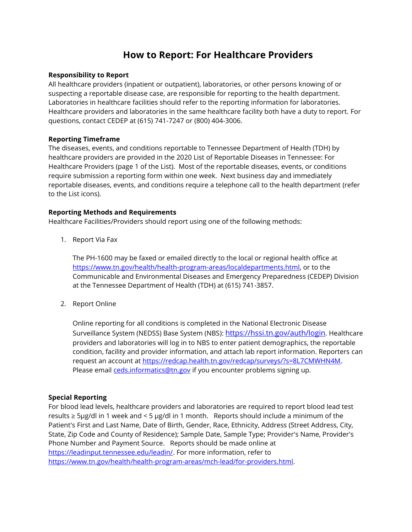# **How to Report: For Healthcare Providers**

#### **Responsibility to Report**

All healthcare providers (inpatient or outpatient), laboratories, or other persons knowing of or suspecting a reportable disease case, are responsible for reporting to the health department. Laboratories in healthcare facilities should refer to the reporting information for laboratories. Healthcare providers and laboratories in the same healthcare facility both have a duty to report. For questions, contact CEDEP at (615) 741-7247 or (800) 404-3006.

### **Reporting Timeframe**

The diseases, events, and conditions reportable to Tennessee Department of Health (TDH) by healthcare providers are provided in the 2020 List of Reportable Diseases in Tennessee: For Healthcare Providers (page 1 of the List). Most of the reportable diseases, events, or conditions require submission a reporting form within one week. Next business day and immediately reportable diseases, events, and conditions require a telephone call to the health department (refer to the List icons).

### **Reporting Methods and Requirements**

Healthcare Facilities/Providers should report using one of the following methods:

1. Report Via Fax

The PH-1600 may be faxed or emailed directly to the local or regional health office at [https://www.tn.gov/health/health-program-areas/localdepartments.html,](https://www.tn.gov/health/health-program-areas/localdepartments.html) or to the Communicable and Environmental Diseases and Emergency Preparedness (CEDEP) Division at the Tennessee Department of Health (TDH) at (615) 741-3857.

2. Report Online

Online reporting for all conditions is completed in the National Electronic Disease Surveillance System (NEDSS) Base System (NBS): <https://hssi.tn.gov/auth/login>. Healthcare providers and laboratories will log in to NBS to enter patient demographics, the reportable condition, facility and provider information, and attach lab report information. Reporters can request an account at [https://redcap.health.tn.gov/redcap/surveys/?s=8L7CMWHN4M.](https://redcap.health.tn.gov/redcap/surveys/?s=8L7CMWHN4M) Please email [ceds.informatics@tn.gov](mailto:ceds.informatics@tn.gov) if you encounter problems signing up.

## **Special Reporting**

For blood lead levels, healthcare providers and laboratories are required to report blood lead test results ≥ 5μg/dl in 1 week and < 5 μg/dl in 1 month. Reports should include a minimum of the Patient's First and Last Name, Date of Birth, Gender, Race, Ethnicity, Address (Street Address, City, State, Zip Code and County of Residence); Sample Date, Sample Type; Provider's Name, Provider's Phone Number and Payment Source. Reports should be made online at [https://leadinput.tennessee.edu/leadin/.](https://leadinput.tennessee.edu/leadin/) For more information, refer to [https://www.tn.gov/health/health-program-areas/mch-lead/for-providers.html.](https://www.tn.gov/health/health-program-areas/mch-lead/for-providers.html)